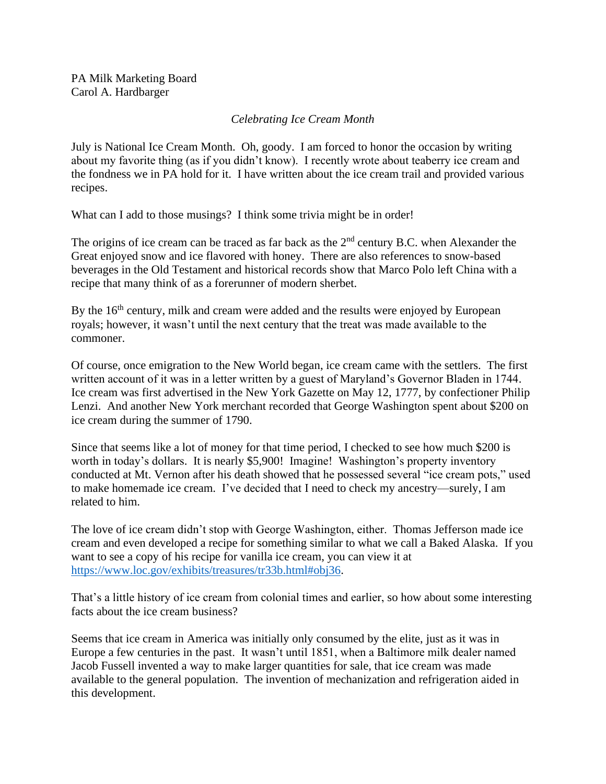## *Celebrating Ice Cream Month*

July is National Ice Cream Month. Oh, goody. I am forced to honor the occasion by writing about my favorite thing (as if you didn't know). I recently wrote about teaberry ice cream and the fondness we in PA hold for it. I have written about the ice cream trail and provided various recipes.

What can I add to those musings? I think some trivia might be in order!

The origins of ice cream can be traced as far back as the 2<sup>nd</sup> century B.C. when Alexander the Great enjoyed snow and ice flavored with honey. There are also references to snow-based beverages in the Old Testament and historical records show that Marco Polo left China with a recipe that many think of as a forerunner of modern sherbet.

By the  $16<sup>th</sup>$  century, milk and cream were added and the results were enjoyed by European royals; however, it wasn't until the next century that the treat was made available to the commoner.

Of course, once emigration to the New World began, ice cream came with the settlers. The first written account of it was in a letter written by a guest of Maryland's Governor Bladen in 1744. Ice cream was first advertised in the New York Gazette on May 12, 1777, by confectioner Philip Lenzi. And another New York merchant recorded that George Washington spent about \$200 on ice cream during the summer of 1790.

Since that seems like a lot of money for that time period, I checked to see how much \$200 is worth in today's dollars. It is nearly \$5,900! Imagine! Washington's property inventory conducted at Mt. Vernon after his death showed that he possessed several "ice cream pots," used to make homemade ice cream. I've decided that I need to check my ancestry—surely, I am related to him.

The love of ice cream didn't stop with George Washington, either. Thomas Jefferson made ice cream and even developed a recipe for something similar to what we call a Baked Alaska. If you want to see a copy of his recipe for vanilla ice cream, you can view it at [https://www.loc.gov/exhibits/treasures/tr33b.html#obj36.](https://www.loc.gov/exhibits/treasures/tr33b.html#obj36)

That's a little history of ice cream from colonial times and earlier, so how about some interesting facts about the ice cream business?

Seems that ice cream in America was initially only consumed by the elite, just as it was in Europe a few centuries in the past. It wasn't until 1851, when a Baltimore milk dealer named Jacob Fussell invented a way to make larger quantities for sale, that ice cream was made available to the general population. The invention of mechanization and refrigeration aided in this development.